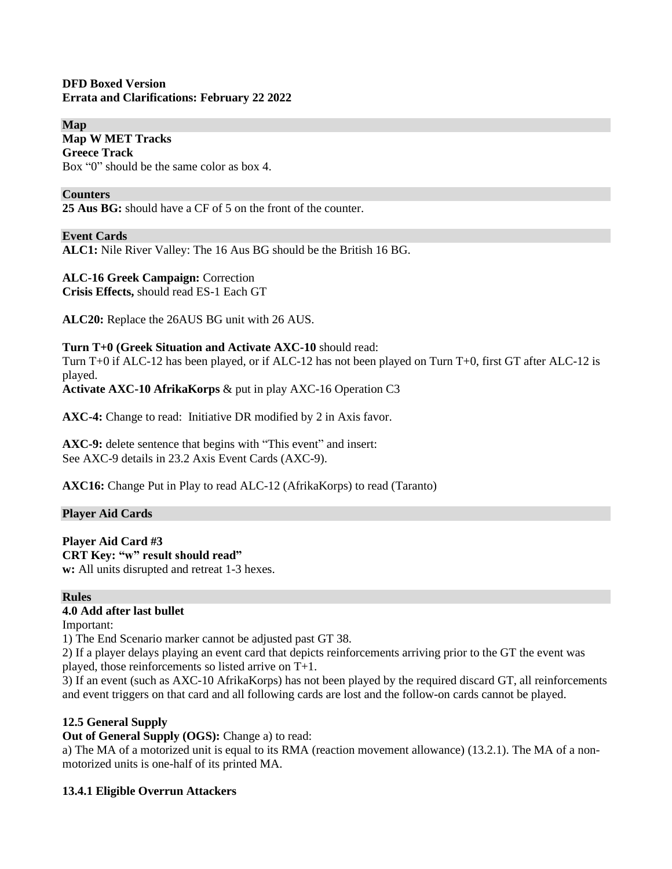#### **DFD Boxed Version Errata and Clarifications: February 22 2022**

**Map Map W MET Tracks Greece Track** Box "0" should be the same color as box 4.

#### **Counters**

**25 Aus BG:** should have a CF of 5 on the front of the counter.

#### **Event Cards**

**ALC1:** Nile River Valley: The 16 Aus BG should be the British 16 BG.

# **ALC-16 Greek Campaign:** Correction

**Crisis Effects,** should read ES-1 Each GT

**ALC20:** Replace the 26AUS BG unit with 26 AUS.

#### **Turn T+0 (Greek Situation and Activate AXC-10** should read:

Turn T+0 if ALC-12 has been played, or if ALC-12 has not been played on Turn T+0, first GT after ALC-12 is played.

**Activate AXC-10 AfrikaKorps** & put in play AXC-16 Operation C3

**AXC-4:** Change to read: Initiative DR modified by 2 in Axis favor.

**AXC-9:** delete sentence that begins with "This event" and insert: See AXC-9 details in 23.2 Axis Event Cards (AXC-9).

**AXC16:** Change Put in Play to read ALC-12 (AfrikaKorps) to read (Taranto)

#### **Player Aid Cards**

**Player Aid Card #3 CRT Key: "w" result should read" w:** All units disrupted and retreat 1-3 hexes.

#### **Rules**

#### **4.0 Add after last bullet**

Important:

1) The End Scenario marker cannot be adjusted past GT 38.

2) If a player delays playing an event card that depicts reinforcements arriving prior to the GT the event was played, those reinforcements so listed arrive on T+1.

3) If an event (such as AXC-10 AfrikaKorps) has not been played by the required discard GT, all reinforcements and event triggers on that card and all following cards are lost and the follow-on cards cannot be played.

#### **12.5 General Supply**

**Out of General Supply (OGS):** Change a) to read:

a) The MA of a motorized unit is equal to its RMA (reaction movement allowance) (13.2.1). The MA of a nonmotorized units is one-half of its printed MA.

#### **13.4.1 Eligible Overrun Attackers**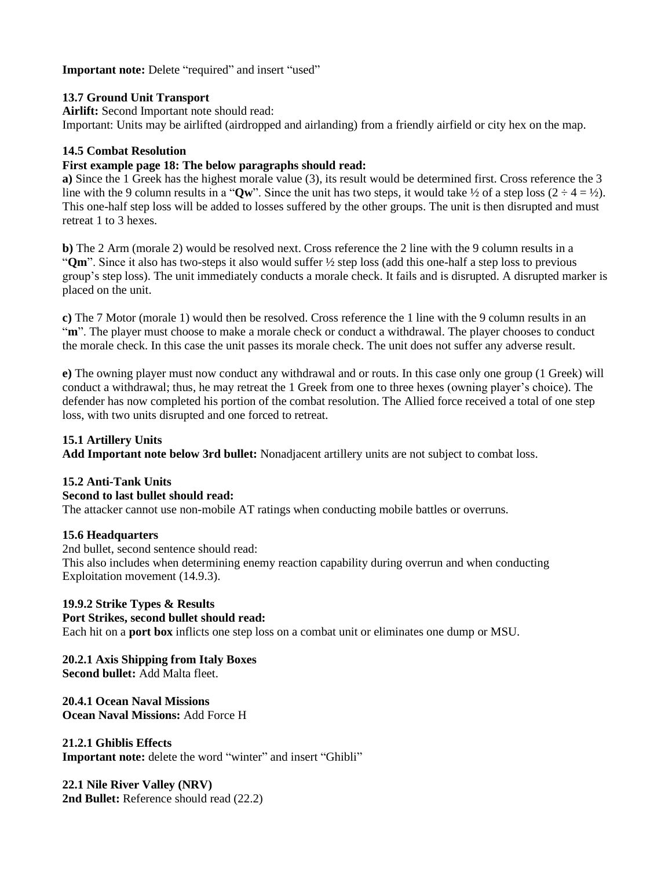**Important note:** Delete "required" and insert "used"

# **13.7 Ground Unit Transport**

**Airlift:** Second Important note should read:

Important: Units may be airlifted (airdropped and airlanding) from a friendly airfield or city hex on the map.

### **14.5 Combat Resolution**

### **First example page 18: The below paragraphs should read:**

**a)** Since the 1 Greek has the highest morale value (3), its result would be determined first. Cross reference the 3 line with the 9 column results in a " $Qw$ ". Since the unit has two steps, it would take  $\frac{1}{2}$  of a step loss (2 ÷ 4 = ½). This one-half step loss will be added to losses suffered by the other groups. The unit is then disrupted and must retreat 1 to 3 hexes.

**b)** The 2 Arm (morale 2) would be resolved next. Cross reference the 2 line with the 9 column results in a "**Qm**". Since it also has two-steps it also would suffer ½ step loss (add this one-half a step loss to previous group's step loss). The unit immediately conducts a morale check. It fails and is disrupted. A disrupted marker is placed on the unit.

**c)** The 7 Motor (morale 1) would then be resolved. Cross reference the 1 line with the 9 column results in an "m". The player must choose to make a morale check or conduct a withdrawal. The player chooses to conduct the morale check. In this case the unit passes its morale check. The unit does not suffer any adverse result.

**e)** The owning player must now conduct any withdrawal and or routs. In this case only one group (1 Greek) will conduct a withdrawal; thus, he may retreat the 1 Greek from one to three hexes (owning player's choice). The defender has now completed his portion of the combat resolution. The Allied force received a total of one step loss, with two units disrupted and one forced to retreat.

# **15.1 Artillery Units**

**Add Important note below 3rd bullet:** Nonadjacent artillery units are not subject to combat loss.

#### **15.2 Anti-Tank Units**

#### **Second to last bullet should read:**

The attacker cannot use non-mobile AT ratings when conducting mobile battles or overruns.

#### **15.6 Headquarters**

2nd bullet, second sentence should read: This also includes when determining enemy reaction capability during overrun and when conducting Exploitation movement (14.9.3).

#### **19.9.2 Strike Types & Results**

#### **Port Strikes, second bullet should read:**

Each hit on a **port box** inflicts one step loss on a combat unit or eliminates one dump or MSU.

#### **20.2.1 Axis Shipping from Italy Boxes**

**Second bullet:** Add Malta fleet.

#### **20.4.1 Ocean Naval Missions**

**Ocean Naval Missions:** Add Force H

#### **21.2.1 Ghiblis Effects**

**Important note:** delete the word "winter" and insert "Ghibli"

**22.1 Nile River Valley (NRV)** 2nd Bullet: Reference should read (22.2)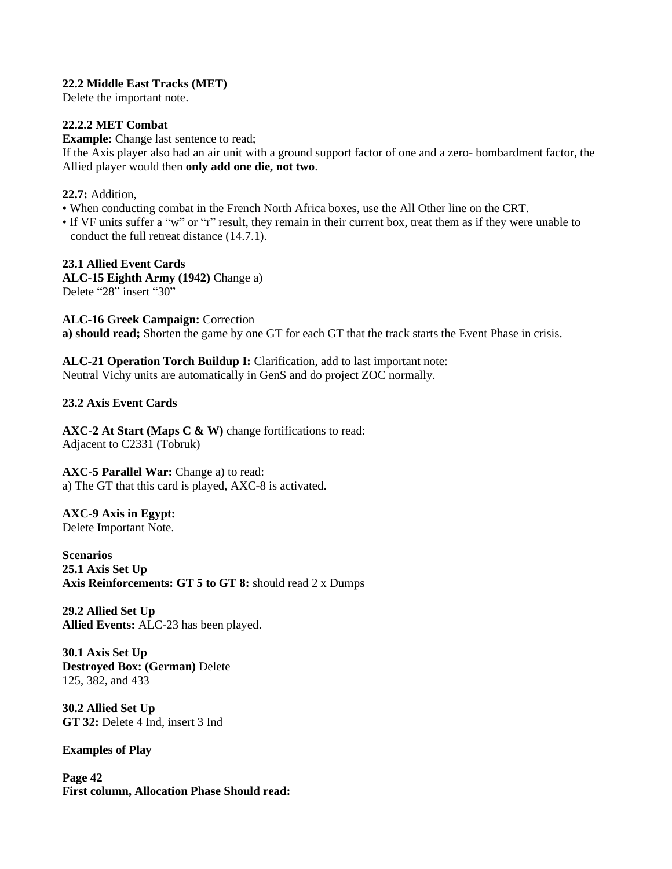#### **22.2 Middle East Tracks (MET)**

Delete the important note.

# **22.2.2 MET Combat**

**Example:** Change last sentence to read;

If the Axis player also had an air unit with a ground support factor of one and a zero- bombardment factor, the Allied player would then **only add one die, not two**.

#### **22.7:** Addition,

- When conducting combat in the French North Africa boxes, use the All Other line on the CRT.
- If VF units suffer a "w" or "r" result, they remain in their current box, treat them as if they were unable to conduct the full retreat distance (14.7.1).

**23.1 Allied Event Cards ALC-15 Eighth Army (1942)** Change a) Delete "28" insert "30"

**ALC-16 Greek Campaign:** Correction **a) should read;** Shorten the game by one GT for each GT that the track starts the Event Phase in crisis.

**ALC-21 Operation Torch Buildup I:** Clarification, add to last important note: Neutral Vichy units are automatically in GenS and do project ZOC normally.

### **23.2 Axis Event Cards**

**AXC-2 At Start (Maps C & W)** change fortifications to read: Adjacent to C2331 (Tobruk)

**AXC-5 Parallel War:** Change a) to read: a) The GT that this card is played, AXC-8 is activated.

**AXC-9 Axis in Egypt:** Delete Important Note.

**Scenarios 25.1 Axis Set Up Axis Reinforcements: GT 5 to GT 8:** should read 2 x Dumps

**29.2 Allied Set Up Allied Events:** ALC-23 has been played.

**30.1 Axis Set Up Destroyed Box: (German)** Delete 125, 382, and 433

**30.2 Allied Set Up GT 32:** Delete 4 Ind, insert 3 Ind

**Examples of Play**

**Page 42 First column, Allocation Phase Should read:**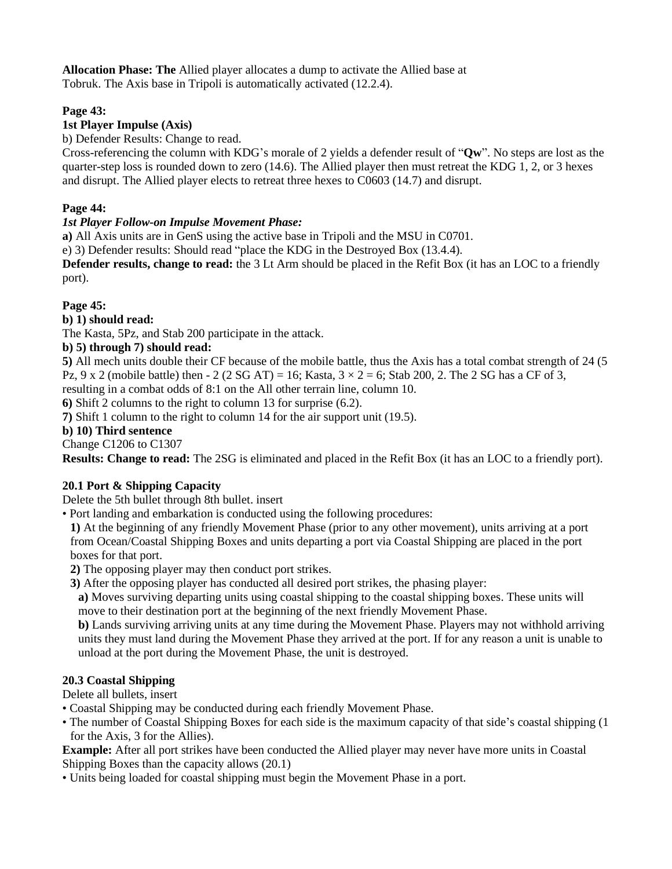**Allocation Phase: The** Allied player allocates a dump to activate the Allied base at Tobruk. The Axis base in Tripoli is automatically activated (12.2.4).

# **Page 43:**

# **1st Player Impulse (Axis)**

b) Defender Results: Change to read.

Cross-referencing the column with KDG's morale of 2 yields a defender result of "**Qw**". No steps are lost as the quarter-step loss is rounded down to zero (14.6). The Allied player then must retreat the KDG 1, 2, or 3 hexes and disrupt. The Allied player elects to retreat three hexes to C0603 (14.7) and disrupt.

# **Page 44:**

### *1st Player Follow-on Impulse Movement Phase:*

**a)** All Axis units are in GenS using the active base in Tripoli and the MSU in C0701.

e) 3) Defender results: Should read "place the KDG in the Destroyed Box (13.4.4).

**Defender results, change to read:** the 3 Lt Arm should be placed in the Refit Box (it has an LOC to a friendly port).

### **Page 45:**

# **b) 1) should read:**

The Kasta, 5Pz, and Stab 200 participate in the attack.

### **b) 5) through 7) should read:**

**5)** All mech units double their CF because of the mobile battle, thus the Axis has a total combat strength of 24 (5 Pz, 9 x 2 (mobile battle) then  $-2$  (2 SG AT) = 16; Kasta,  $3 \times 2 = 6$ ; Stab 200, 2. The 2 SG has a CF of 3, resulting in a combat odds of 8:1 on the All other terrain line, column 10.

**6)** Shift 2 columns to the right to column 13 for surprise (6.2).

**7)** Shift 1 column to the right to column 14 for the air support unit (19.5).

### **b) 10) Third sentence**

Change C1206 to C1307

**Results: Change to read:** The 2SG is eliminated and placed in the Refit Box (it has an LOC to a friendly port).

# **20.1 Port & Shipping Capacity**

Delete the 5th bullet through 8th bullet. insert

• Port landing and embarkation is conducted using the following procedures:

**1)** At the beginning of any friendly Movement Phase (prior to any other movement), units arriving at a port from Ocean/Coastal Shipping Boxes and units departing a port via Coastal Shipping are placed in the port boxes for that port.

**2)** The opposing player may then conduct port strikes.

**3)** After the opposing player has conducted all desired port strikes, the phasing player:

**a)** Moves surviving departing units using coastal shipping to the coastal shipping boxes. These units will move to their destination port at the beginning of the next friendly Movement Phase.

**b)** Lands surviving arriving units at any time during the Movement Phase. Players may not withhold arriving units they must land during the Movement Phase they arrived at the port. If for any reason a unit is unable to unload at the port during the Movement Phase, the unit is destroyed.

#### **20.3 Coastal Shipping**

Delete all bullets, insert

- Coastal Shipping may be conducted during each friendly Movement Phase.
- The number of Coastal Shipping Boxes for each side is the maximum capacity of that side's coastal shipping (1 for the Axis, 3 for the Allies).

**Example:** After all port strikes have been conducted the Allied player may never have more units in Coastal Shipping Boxes than the capacity allows (20.1)

• Units being loaded for coastal shipping must begin the Movement Phase in a port.